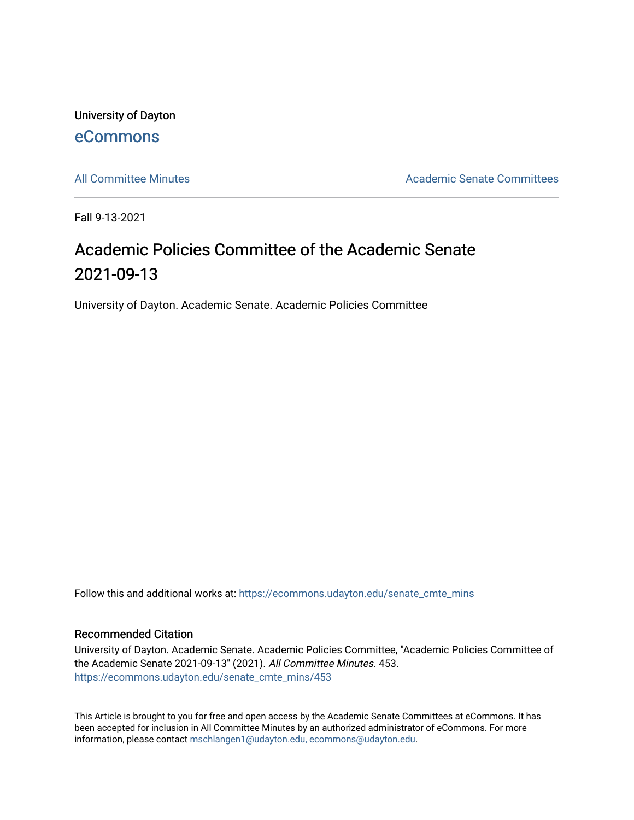University of Dayton [eCommons](https://ecommons.udayton.edu/)

[All Committee Minutes](https://ecommons.udayton.edu/senate_cmte_mins) **Academic Senate Committees** Academic Senate Committees

Fall 9-13-2021

## Academic Policies Committee of the Academic Senate 2021-09-13

University of Dayton. Academic Senate. Academic Policies Committee

Follow this and additional works at: [https://ecommons.udayton.edu/senate\\_cmte\\_mins](https://ecommons.udayton.edu/senate_cmte_mins?utm_source=ecommons.udayton.edu%2Fsenate_cmte_mins%2F453&utm_medium=PDF&utm_campaign=PDFCoverPages)

## Recommended Citation

University of Dayton. Academic Senate. Academic Policies Committee, "Academic Policies Committee of the Academic Senate 2021-09-13" (2021). All Committee Minutes. 453. [https://ecommons.udayton.edu/senate\\_cmte\\_mins/453](https://ecommons.udayton.edu/senate_cmte_mins/453?utm_source=ecommons.udayton.edu%2Fsenate_cmte_mins%2F453&utm_medium=PDF&utm_campaign=PDFCoverPages)

This Article is brought to you for free and open access by the Academic Senate Committees at eCommons. It has been accepted for inclusion in All Committee Minutes by an authorized administrator of eCommons. For more information, please contact [mschlangen1@udayton.edu, ecommons@udayton.edu](mailto:mschlangen1@udayton.edu,%20ecommons@udayton.edu).